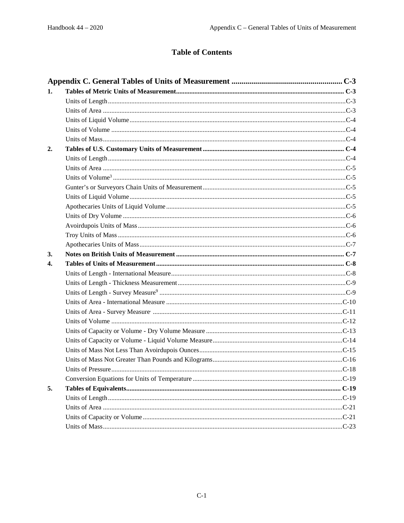# **Table of Contents**

| 1. |  |
|----|--|
|    |  |
|    |  |
|    |  |
|    |  |
|    |  |
| 2. |  |
|    |  |
|    |  |
|    |  |
|    |  |
|    |  |
|    |  |
|    |  |
|    |  |
|    |  |
|    |  |
| 3. |  |
| 4. |  |
|    |  |
|    |  |
|    |  |
|    |  |
|    |  |
|    |  |
|    |  |
|    |  |
|    |  |
|    |  |
|    |  |
|    |  |
| 5. |  |
|    |  |
|    |  |
|    |  |
|    |  |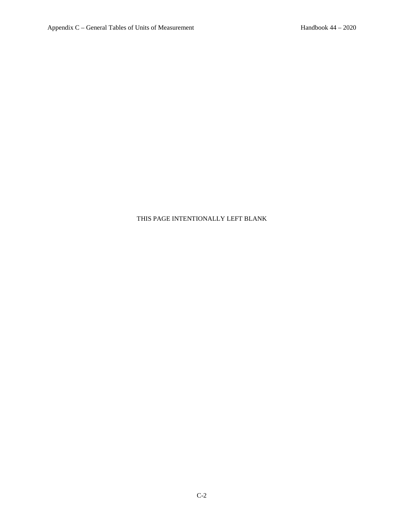## THIS PAGE INTENTIONALLY LEFT BLANK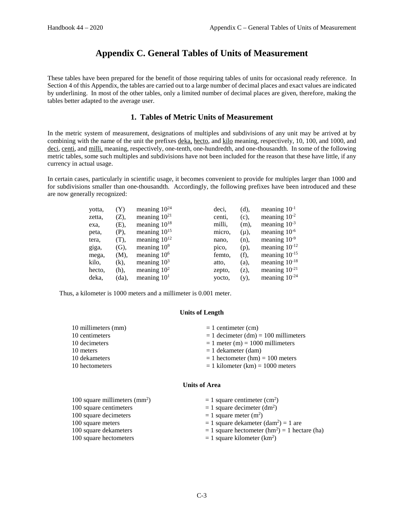# **Appendix C. General Tables of Units of Measurement**

<span id="page-2-0"></span>These tables have been prepared for the benefit of those requiring tables of units for occasional ready reference. In Section 4 of this Appendix, the tables are carried out to a large number of decimal places and exact values are indicated by underlining. In most of the other tables, only a limited number of decimal places are given, therefore, making the tables better adapted to the average user.

### **1. Tables of Metric Units of Measurement**

<span id="page-2-1"></span>In the metric system of measurement, designations of multiples and subdivisions of any unit may be arrived at by combining with the name of the unit the prefixes deka, hecto, and kilo meaning, respectively, 10, 100, and 1000, and deci, centi, and milli, meaning, respectively, one-tenth, one-hundredth, and one-thousandth. In some of the following metric tables, some such multiples and subdivisions have not been included for the reason that these have little, if any currency in actual usage.

In certain cases, particularly in scientific usage, it becomes convenient to provide for multiples larger than 1000 and for subdivisions smaller than one-thousandth. Accordingly, the following prefixes have been introduced and these are now generally recognized:

| yotta, | (Y)   | meaning $10^{24}$ | deci,  | (d),      | meaning $10^{-1}$  |
|--------|-------|-------------------|--------|-----------|--------------------|
| zetta, | (Z),  | meaning $10^{21}$ | centi, | (c),      | meaning $10^{-2}$  |
| exa,   | (E),  | meaning $10^{18}$ | milli, | (m),      | meaning $10^{-3}$  |
| peta,  | (P),  | meaning $10^{15}$ | micro, | $(\mu)$ , | meaning $10^{-6}$  |
| tera,  | (T),  | meaning $10^{12}$ | nano,  | (n),      | meaning $10^{-9}$  |
| giga,  | (G),  | meaning $10^9$    | pico,  | $(p)$ ,   | meaning $10^{-12}$ |
| mega,  | (M),  | meaning $106$     | femto, | (f),      | meaning $10^{-15}$ |
| kilo,  | (k),  | meaning $103$     | atto,  | (a),      | meaning $10^{-18}$ |
| hecto, | (h),  | meaning $102$     | zepto, | (z),      | meaning $10^{-21}$ |
| deka,  | (da), | meaning $101$     | yocto, | (y),      | meaning $10^{-24}$ |

Thus, a kilometer is 1000 meters and a millimeter is 0.001 meter.

#### <span id="page-2-2"></span>**Units of Length**

| 10 millimeters (mm) | $= 1$ centimeter (cm)                    |
|---------------------|------------------------------------------|
| 10 centimeters      | $= 1$ decimeter (dm) $= 100$ millimeters |
| 10 decimeters       | $= 1$ meter (m) $= 1000$ millimeters     |
| 10 meters           | $= 1$ dekameter (dam)                    |
| 10 dekameters       | $= 1$ hectometer (hm) $= 100$ meters     |
| 10 hectometers      | $= 1$ kilometer (km) = 1000 meters       |

#### <span id="page-2-3"></span>**Units of Area**

| 100 square millimeters $\text{(mm}^2)$ | $= 1$ square centimeter (cm <sup>2</sup> )                  |
|----------------------------------------|-------------------------------------------------------------|
| 100 square centimeters                 | $= 1$ square decimeter (dm <sup>2</sup> )                   |
| 100 square decimeters                  | $= 1$ square meter (m <sup>2</sup> )                        |
| 100 square meters                      | $= 1$ square dekameter (dam <sup>2</sup> ) = 1 are          |
| 100 square dekameters                  | $= 1$ square hectometer (hm <sup>2</sup> ) = 1 hectare (ha) |
| 100 square hectometers                 | $= 1$ square kilometer (km <sup>2</sup> )                   |
|                                        |                                                             |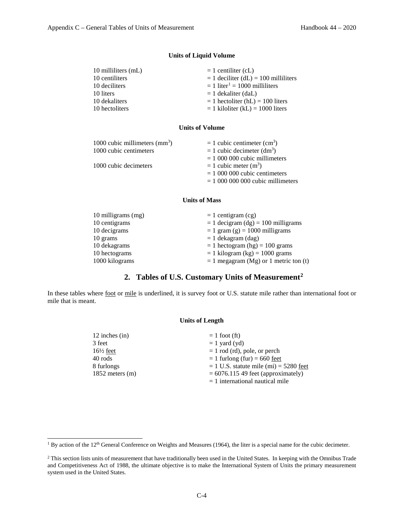#### <span id="page-3-0"></span>**Units of Liquid Volume**

| 10 milliliters (mL) | $= 1$ centiliter (cL)                       |
|---------------------|---------------------------------------------|
| 10 centiliters      | $= 1$ deciliter (dL) = 100 milliliters      |
| 10 deciliters       | $= 1$ liter <sup>1</sup> = 1000 milliliters |
| 10 liters           | $= 1$ dekaliter (daL)                       |
| 10 dekaliters       | $= 1$ hectoliter (hL) $= 100$ liters        |
| 10 hectoliters      | $= 1$ kiloliter (kL) = 1000 liters          |
|                     |                                             |

#### **Units of Volume**

<span id="page-3-1"></span>

| 1000 cubic millimeters $\text{(mm)}^3$ ) | $= 1$ cubic centimeter (cm <sup>3</sup> ) |
|------------------------------------------|-------------------------------------------|
| 1000 cubic centimeters                   | $= 1$ cubic decimeter (dm <sup>3</sup> )  |
|                                          | $= 1000000$ cubic millimeters             |
| 1000 cubic decimeters                    | $= 1$ cubic meter (m <sup>3</sup> )       |
|                                          | $= 1000000$ cubic centimeters             |
|                                          | $= 1000000000$ cubic millimeters          |

#### **Units of Mass**

<span id="page-3-2"></span>

| $= 1$ centigram (cg)                    |
|-----------------------------------------|
| $= 1$ decigram (dg) = 100 milligrams    |
| $= 1$ gram (g) $= 1000$ milligrams      |
| $= 1$ dekagram (dag)                    |
| $= 1$ hectogram (hg) $= 100$ grams      |
| $= 1$ kilogram (kg) = 1000 grams        |
| $= 1$ megagram (Mg) or 1 metric ton (t) |
|                                         |

## **2. Tables of U.S. Customary Units of Measurement[2](#page-3-6)**

<span id="page-3-3"></span>In these tables where foot or mile is underlined, it is survey foot or U.S. statute mile rather than international foot or mile that is meant.

#### **Units of Length**

<span id="page-3-4"></span>

| 12 inches $(in)$     | $= 1$ foot (ft)                          |
|----------------------|------------------------------------------|
| 3 feet               | $= 1$ yard (yd)                          |
| $16\frac{1}{2}$ feet | $= 1$ rod (rd), pole, or perch           |
| 40 rods              | $= 1$ furlong (fur) = 660 feet           |
| 8 furlongs           | $= 1$ U.S. statute mile (mi) = 5280 feet |
| $1852$ meters $(m)$  | $= 6076.115$ 49 feet (approximately)     |
|                      | $= 1$ international nautical mile        |

<span id="page-3-5"></span> $1$  By action of the 12<sup>th</sup> General Conference on Weights and Measures (1964), the liter is a special name for the cubic decimeter.

<span id="page-3-6"></span><sup>&</sup>lt;sup>2</sup> This section lists units of measurement that have traditionally been used in the United States. In keeping with the Omnibus Trade and Competitiveness Act of 1988, the ultimate objective is to make the International System of Units the primary measurement system used in the United States.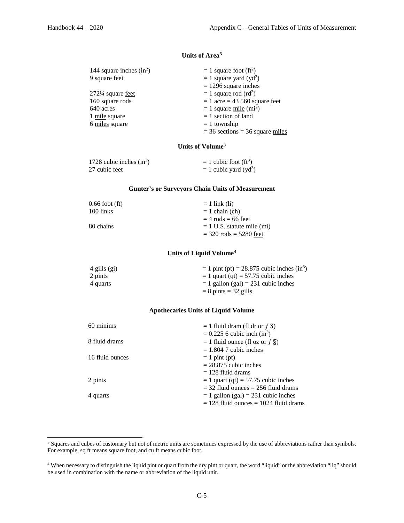### **Units of Area[3](#page-4-5)**

<span id="page-4-0"></span>

| 144 square inches $(in^2)$   | $= 1$ square foot (ft <sup>2</sup> )        |
|------------------------------|---------------------------------------------|
| 9 square feet                | $= 1$ square yard (yd <sup>2</sup> )        |
|                              | $= 1296$ square inches                      |
| $272\frac{1}{4}$ square feet | $= 1$ square rod (rd <sup>2</sup> )         |
| 160 square rods              | $= 1$ acre = 43 560 square <u>feet</u>      |
| 640 acres                    | $= 1$ square <u>mile</u> (mi <sup>2</sup> ) |
| $1$ mile square              | $= 1$ section of land                       |
| 6 miles square               | $= 1$ township                              |
|                              | $=$ 36 sections $=$ 36 square miles         |

#### **Units of Volume3**

<span id="page-4-1"></span>

| 1728 cubic inches $(in^3)$ | $= 1$ cubic foot (ft <sup>3</sup> ) |
|----------------------------|-------------------------------------|
| 27 cubic feet              | $= 1$ cubic yard (yd <sup>3</sup> ) |

#### **Gunter's or Surveyors Chain Units of Measurement**

<span id="page-4-2"></span>

| $0.66$ foot (ft) | $= 1$ link (li)              |
|------------------|------------------------------|
| 100 links        | $= 1$ chain (ch)             |
|                  | $= 4$ rods = 66 feet         |
| 80 chains        | $= 1$ U.S. statute mile (mi) |
|                  | $=$ 320 rods $=$ 5280 feet   |

#### **Units of Liquid Volume[4](#page-4-6)**

<span id="page-4-3"></span>

| $4$ gills $(qi)$ | $= 1$ pint (pt) = 28.875 cubic inches (in <sup>3</sup> ) |
|------------------|----------------------------------------------------------|
| 2 pints          | $= 1$ quart (qt) = 57.75 cubic inches                    |
| 4 quarts         | $= 1$ gallon (gal) = 231 cubic inches                    |
|                  | $= 8 \text{ pints} = 32 \text{ gills}$                   |

#### **Apothecaries Units of Liquid Volume**

<span id="page-4-4"></span>

| 60 minims       | $= 1$ fluid dram (fl dr or f 3)           |
|-----------------|-------------------------------------------|
|                 | $= 0.225$ 6 cubic inch (in <sup>3</sup> ) |
| 8 fluid drams   | $= 1$ fluid ounce (fl oz or f $\bar{z}$ ) |
|                 | $= 1.804$ 7 cubic inches                  |
| 16 fluid ounces | $= 1$ pint (pt)                           |
|                 | $= 28.875$ cubic inches                   |
|                 | $= 128$ fluid drams                       |
| 2 pints         | $= 1$ quart (qt) = 57.75 cubic inches     |
|                 | $=$ 32 fluid ounces $=$ 256 fluid drams   |
| 4 quarts        | $= 1$ gallon (gal) = 231 cubic inches     |
|                 | $= 128$ fluid ounces $= 1024$ fluid drams |

<span id="page-4-5"></span><sup>&</sup>lt;sup>3</sup> Squares and cubes of customary but not of metric units are sometimes expressed by the use of abbreviations rather than symbols. For example, sq ft means square foot, and cu ft means cubic foot.

<span id="page-4-6"></span><sup>&</sup>lt;sup>4</sup> When necessary to distinguish the liquid pint or quart from the dry pint or quart, the word "liquid" or the abbreviation "liq" should be used in combination with the name or abbreviation of the liquid unit.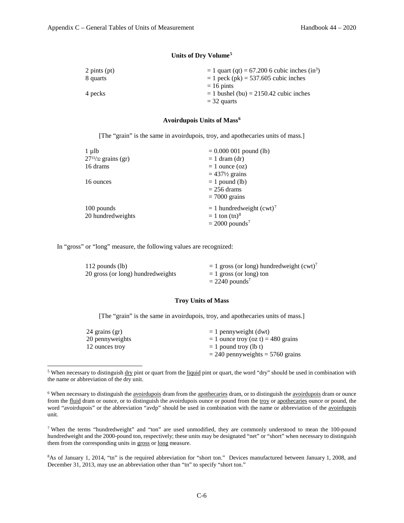#### <span id="page-5-0"></span>**Units of Dry Volume[5](#page-5-3)**

| $2 \text{ pints}$ (pt) | $= 1$ quart (qt) = 67.200 6 cubic inches (in <sup>3</sup> ) |
|------------------------|-------------------------------------------------------------|
| 8 quarts               | $= 1$ peck (pk) = 537.605 cubic inches                      |
|                        | $= 16 \text{ pints}$                                        |
| 4 pecks                | $= 1$ bushel (bu) $= 2150.42$ cubic inches                  |
|                        | $=$ 32 quarts                                               |

#### **Avoirdupois Units of Mass[6](#page-5-4)**

[The "grain" is the same in avoirdupois, troy, and apothecaries units of mass.]

<span id="page-5-1"></span>

| $1 \mu$ lb               | $= 0.000 001$ pound (lb)               |
|--------------------------|----------------------------------------|
| $27^{11}/32$ grains (gr) | $= 1$ dram (dr)                        |
| 16 drams                 | $= 1$ ounce (oz)                       |
|                          | $= 437\frac{1}{2}$ grains              |
| 16 ounces                | $= 1$ pound (lb)                       |
|                          | $= 256$ drams                          |
|                          | $= 7000$ grains                        |
| 100 pounds               | $= 1$ hundredweight (cwt) <sup>7</sup> |
| 20 hundredweights        | $= 1$ ton $(\text{tn})^8$              |
|                          | $= 2000$ pounds <sup>7</sup>           |

In "gross" or "long" measure, the following values are recognized:

<span id="page-5-2"></span>

| $112$ pounds $(lb)$               | $= 1$ gross (or long) hundredweight (cwt)' |
|-----------------------------------|--------------------------------------------|
| 20 gross (or long) hundredweights | $= 1$ gross (or long) ton                  |
|                                   | $= 2240$ pounds <sup>7</sup>               |

#### **Troy Units of Mass**

[The "grain" is the same in avoirdupois, troy, and apothecaries units of mass.]

| 24 grains (gr)  | $= 1$ pennyweight (dwt)              |
|-----------------|--------------------------------------|
| 20 pennyweights | $= 1$ ounce troy (oz t) = 480 grains |
| 12 ounces troy  | $= 1$ pound troy (lb t)              |
|                 | $= 240$ pennyweights $= 5760$ grains |

<span id="page-5-3"></span><sup>&</sup>lt;sup>5</sup> When necessary to distinguish  $\frac{dy}{dx}$  pint or quart from the liquid pint or quart, the word "dry" should be used in combination with the name or abbreviation of the dry unit.

<span id="page-5-5"></span><sup>7</sup> When the terms "hundredweight" and "ton" are used unmodified, they are commonly understood to mean the 100-pound hundredweight and the 2000-pound ton, respectively; these units may be designated "net" or "short" when necessary to distinguish them from the corresponding units in gross or long measure.

<span id="page-5-7"></span><span id="page-5-6"></span>8As of January 1, 2014, "tn" is the required abbreviation for "short ton." Devices manufactured between January 1, 2008, and December 31, 2013, may use an abbreviation other than "tn" to specify "short ton."

<span id="page-5-4"></span><sup>&</sup>lt;sup>6</sup> When necessary to distinguish the avoirdupois dram from the apothecaries dram, or to distinguish the avoirdupois dram or ounce from the fluid dram or ounce, or to distinguish the avoirdupois ounce or pound from the troy or apothecaries ounce or pound, the word "avoirdupois" or the abbreviation "avdp" should be used in combination with the name or abbreviation of the avoirdupois unit.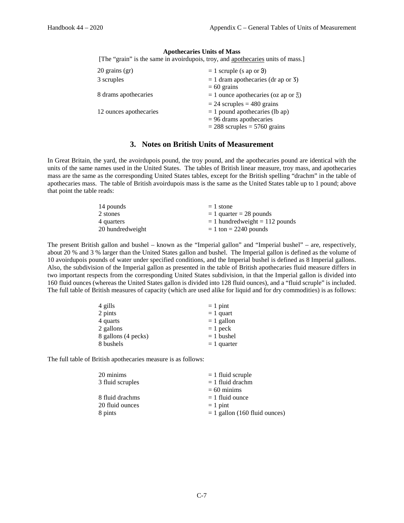#### **Apothecaries Units of Mass**

<span id="page-6-0"></span>[The "grain" is the same in avoirdupois, troy, and apothecaries units of mass.]

| 20 grains (gr)         | $= 1$ scruple (s ap or $\theta$ )                                                                                                   |
|------------------------|-------------------------------------------------------------------------------------------------------------------------------------|
| 3 scruples             | $= 1$ dram apothecaries (dr ap or 3)<br>$= 60$ grains                                                                               |
| 8 drams apothecaries   | $= 1$ ounce apothecaries (oz ap or $\frac{2}{3}$ )                                                                                  |
| 12 ounces apothecaries | $= 24$ scruples $= 480$ grains<br>$= 1$ pound apothecaries (lb ap)<br>$= 96$ drams apothecaries<br>$= 288$ scruples $= 5760$ grains |

#### **3. Notes on British Units of Measurement**

<span id="page-6-1"></span>In Great Britain, the yard, the avoirdupois pound, the troy pound, and the apothecaries pound are identical with the units of the same names used in the United States. The tables of British linear measure, troy mass, and apothecaries mass are the same as the corresponding United States tables, except for the British spelling "drachm" in the table of apothecaries mass. The table of British avoirdupois mass is the same as the United States table up to 1 pound; above that point the table reads:

| $= 1$ stone                        |
|------------------------------------|
| $= 1$ quarter $= 28$ pounds        |
| $= 1$ hundredweight $= 112$ pounds |
| $= 1$ ton $= 2240$ pounds          |
|                                    |

The present British gallon and bushel – known as the "Imperial gallon" and "Imperial bushel" – are, respectively, about 20 % and 3 % larger than the United States gallon and bushel. The Imperial gallon is defined as the volume of 10 avoirdupois pounds of water under specified conditions, and the Imperial bushel is defined as 8 Imperial gallons. Also, the subdivision of the Imperial gallon as presented in the table of British apothecaries fluid measure differs in two important respects from the corresponding United States subdivision, in that the Imperial gallon is divided into 160 fluid ounces (whereas the United States gallon is divided into 128 fluid ounces), and a "fluid scruple" is included. The full table of British measures of capacity (which are used alike for liquid and for dry commodities) is as follows:

| $= 1$ pint    |
|---------------|
| $= 1$ quart   |
| $= 1$ gallon  |
| $= 1$ peck    |
| $= 1$ bushel  |
| $= 1$ quarter |
|               |

The full table of British apothecaries measure is as follows:

| 20 minims        | $= 1$ fluid scruple             |
|------------------|---------------------------------|
| 3 fluid scruples | $= 1$ fluid drachm              |
|                  | $= 60$ minims                   |
| 8 fluid drachms  | $= 1$ fluid ounce               |
| 20 fluid ounces  | $= 1$ pint                      |
| 8 pints          | $= 1$ gallon (160 fluid ounces) |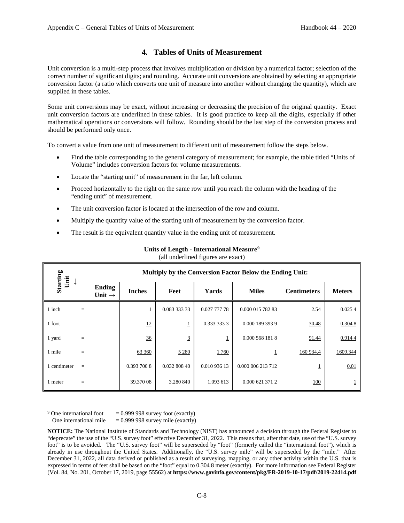## **4. Tables of Units of Measurement**

<span id="page-7-0"></span>Unit conversion is a multi-step process that involves multiplication or division by a numerical factor; selection of the correct number of significant digits; and rounding. Accurate unit conversions are obtained by selecting an appropriate conversion factor (a ratio which converts one unit of measure into another without changing the quantity), which are supplied in these tables.

Some unit conversions may be exact, without increasing or decreasing the precision of the original quantity. Exact unit conversion factors are underlined in these tables. It is good practice to keep all the digits, especially if other mathematical operations or conversions will follow. Rounding should be the last step of the conversion process and should be performed only once.

To convert a value from one unit of measurement to different unit of measurement follow the steps below.

- Find the table corresponding to the general category of measurement; for example, the table titled "Units of Volume" includes conversion factors for volume measurements.
- Locate the "starting unit" of measurement in the far, left column.
- Proceed horizontally to the right on the same row until you reach the column with the heading of the "ending unit" of measurement.
- The unit conversion factor is located at the intersection of the row and column.
- Multiply the quantity value of the starting unit of measurement by the conversion factor.
- <span id="page-7-1"></span>The result is the equivalent quantity value in the ending unit of measurement.

| Unit            |     | <b>Multiply by the Conversion Factor Below the Ending Unit:</b> |               |                |              |                   |                    |               |
|-----------------|-----|-----------------------------------------------------------------|---------------|----------------|--------------|-------------------|--------------------|---------------|
| <b>Starting</b> |     | <b>Ending</b><br>Unit $\rightarrow$                             | <b>Inches</b> | Feet           | Yards        | <b>Miles</b>      | <b>Centimeters</b> | <b>Meters</b> |
| 1 inch          | $=$ |                                                                 | ┻             | 0.083 333 33   | 0.027 777 78 | 0.000 015 782 83  | 2.54               | 0.0254        |
| 1 foot          | $=$ |                                                                 | 12            | ⊥              | 0.333 333 3  | 0.000 189 393 9   | 30.48              | 0.3048        |
| 1 yard          | $=$ |                                                                 | 36            | $\overline{3}$ | Ŧ            | 0.000 568 181 8   | 91.44              | 0.9144        |
| 1 mile          | $=$ |                                                                 | 63 360        | 5 2 8 0        | 1760         | 1                 | 160 934.4          | 1609.344      |
| 1 centimeter    | $=$ |                                                                 | 0.393 700 8   | 0.032 808 40   | 0.010 936 13 | 0.000 006 213 712 | ┻                  | 0.01          |
| 1 meter         | $=$ |                                                                 | 39.370 08     | 3.280 840      | 1.093 613    | 0.000 621 371 2   | 100                | ⊥             |

#### **Units of Length - International Measure[9](#page-7-2)** (all underlined figures are exact)

<span id="page-7-2"></span><sup>9</sup> One international foot  $= 0.999 998$  survey foot (exactly) One international mile  $= 0.999 998$  survey mile (exactly)

**NOTICE:** The National Institute of Standards and Technology (NIST) has announced a decision through the Federal Register to

<sup>&</sup>quot;deprecate" the use of the "U.S. survey foot" effective December 31, 2022. This means that, after that date, use of the "U.S. survey foot" is to be avoided. The "U.S. survey foot" will be superseded by "foot" (formerly called the "international foot"), which is already in use throughout the United States. Additionally, the "U.S. survey mile" will be superseded by the "mile." After December 31, 2022, all data derived or published as a result of surveying, mapping, or any other activity within the U.S. that is expressed in terms of feet shall be based on the "foot" equal to 0.304 8 meter (exactly). For more information see Federal Register (Vol. 84, No. 201, October 17, 2019, page 55562) at **<https://www.govinfo.gov/content/pkg/FR-2019-10-17/pdf/2019-22414.pdf>**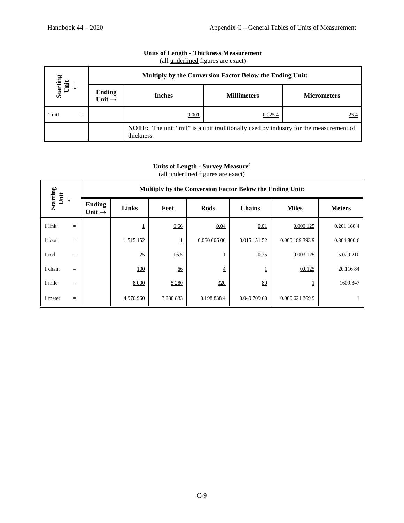<span id="page-8-0"></span>

| (all underlined rigures are exact) |                                                                 |                                     |                                                                                             |                    |  |  |  |
|------------------------------------|-----------------------------------------------------------------|-------------------------------------|---------------------------------------------------------------------------------------------|--------------------|--|--|--|
|                                    | <b>Multiply by the Conversion Factor Below the Ending Unit:</b> |                                     |                                                                                             |                    |  |  |  |
| Starting<br>Unit                   | <b>Ending</b><br>Unit $\rightarrow$                             | <b>Inches</b><br><b>Millimeters</b> |                                                                                             | <b>Micrometers</b> |  |  |  |
| 1 mil<br>$=$                       |                                                                 | 0.001                               | 0.0254                                                                                      | 25.4               |  |  |  |
|                                    |                                                                 | thickness.                          | <b>NOTE:</b> The unit "mil" is a unit traditionally used by industry for the measurement of |                    |  |  |  |

#### **Units of Length - Thickness Measurement** (all **underlined** figures are exact)

## **Units of Length - Survey Measure9** (all underlined figures are exact)

<span id="page-8-1"></span>

|                  |     | Multiply by the Conversion Factor Below the Ending Unit: |           |           |                |               |                 |               |
|------------------|-----|----------------------------------------------------------|-----------|-----------|----------------|---------------|-----------------|---------------|
| Starting<br>Unit |     | <b>Ending</b><br>Unit $\rightarrow$                      | Links     | Feet      | <b>Rods</b>    | <b>Chains</b> | <b>Miles</b>    | <b>Meters</b> |
| 1 link           | $=$ |                                                          | Ŧ         | 0.66      | 0.04           | 0.01          | 0.000 125       | 0.201 168 4   |
| 1 foot           | $=$ |                                                          | 1.515 152 | 1         | 0.060 606 06   | 0.015 151 52  | 0.000 189 393 9 | 0.304 800 6   |
| 1 rod            | $=$ |                                                          | 25        | 16.5      | ᆂ              | 0.25          | 0.003 125       | 5.029 210     |
| 1 chain          | $=$ |                                                          | 100       | 66        | $\overline{4}$ | Ŧ             | 0.0125          | 20.11684      |
| 1 mile           | $=$ |                                                          | 8 0 0 0   | 5 2 8 0   | 320            | 80            |                 | 1609.347      |
| 1 meter          | $=$ |                                                          | 4.970 960 | 3.280 833 | 0.198 838 4    | 0.049 709 60  | 0.000 621 369 9 |               |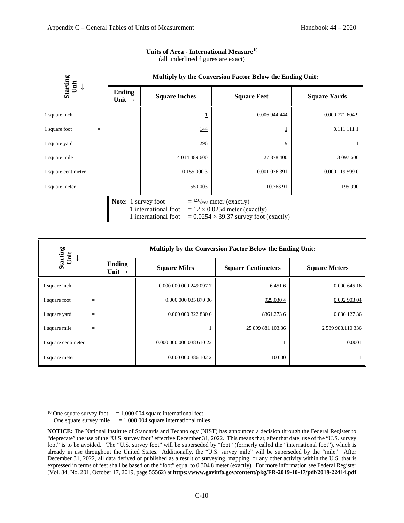<span id="page-9-0"></span>

| Starting<br>Unit    |     |                                     | <b>Multiply by the Conversion Factor Below the Ending Unit:</b>                                                                                                                                                |                    |                     |  |  |  |
|---------------------|-----|-------------------------------------|----------------------------------------------------------------------------------------------------------------------------------------------------------------------------------------------------------------|--------------------|---------------------|--|--|--|
|                     |     | <b>Ending</b><br>Unit $\rightarrow$ | <b>Square Inches</b>                                                                                                                                                                                           | <b>Square Feet</b> | <b>Square Yards</b> |  |  |  |
| 1 square inch       | $=$ |                                     | T                                                                                                                                                                                                              | 0.006 944 444      | 0.000 771 604 9     |  |  |  |
| 1 square foot       | $=$ |                                     | 144                                                                                                                                                                                                            |                    | 0.111 111 1         |  |  |  |
| 1 square yard       | $=$ |                                     | 1 2 9 6                                                                                                                                                                                                        | 9                  |                     |  |  |  |
| 1 square mile       | $=$ |                                     | 4 014 489 600                                                                                                                                                                                                  | 27 878 400         | 3 097 600           |  |  |  |
| 1 square centimeter | $=$ |                                     | 0.155 000 3                                                                                                                                                                                                    | 0.001 076 391      | 0.000 119 599 0     |  |  |  |
| 1 square meter      | $=$ |                                     | 1550.003                                                                                                                                                                                                       | 10.763 91          | 1.195 990           |  |  |  |
|                     |     |                                     | <b>Note:</b> 1 survey foot<br>$=$ $\frac{1200}{3937}$ meter (exactly)<br>1 international foot<br>$= 12 \times 0.0254$ meter (exactly)<br>1 international foot<br>$= 0.0254 \times 39.37$ survey foot (exactly) |                    |                     |  |  |  |

#### **Units of Area - International Measure[10](#page-9-1)** (all underlined figures are exact)

| <b>Starting</b><br>Unit<br>↓ |                 | Multiply by the Conversion Factor Below the Ending Unit: |                          |                           |                      |  |  |
|------------------------------|-----------------|----------------------------------------------------------|--------------------------|---------------------------|----------------------|--|--|
|                              |                 | <b>Ending</b><br>Unit $\rightarrow$                      | <b>Square Miles</b>      | <b>Square Centimeters</b> | <b>Square Meters</b> |  |  |
| 1 square inch                | $=$             |                                                          | 0.000 000 000 249 097 7  | 6.4516                    | 0.000 645 16         |  |  |
| 1 square foot                | $=$             |                                                          | 0.000 000 035 870 06     | 929.0304                  | 0.092 903 04         |  |  |
| 1 square yard                | $=$             |                                                          | 0.000 000 322 830 6      | 8361.2736                 | 0.836 127 36         |  |  |
| 1 square mile                | $=$             |                                                          |                          | 25 899 881 103.36         | 2 589 988.110 336    |  |  |
| 1 square centimeter          | $\quad = \quad$ |                                                          | 0.000 000 000 038 610 22 | ±                         | 0.0001               |  |  |
| 1 square meter               | $=$             |                                                          | 0.000 000 386 102 2      | 10 000                    |                      |  |  |

<span id="page-9-1"></span><sup>10</sup> One square survey foot  $= 1.000 004$  square international feet

One square survey mile  $= 1.000 004$  square international miles

**NOTICE:** The National Institute of Standards and Technology (NIST) has announced a decision through the Federal Register to "deprecate" the use of the "U.S. survey foot" effective December 31, 2022. This means that, after that date, use of the "U.S. survey foot" is to be avoided. The "U.S. survey foot" will be superseded by "foot" (formerly called the "international foot"), which is already in use throughout the United States. Additionally, the "U.S. survey mile" will be superseded by the "mile." After December 31, 2022, all data derived or published as a result of surveying, mapping, or any other activity within the U.S. that is expressed in terms of feet shall be based on the "foot" equal to 0.304 8 meter (exactly). For more information see Federal Register (Vol. 84, No. 201, October 17, 2019, page 55562) at **<https://www.govinfo.gov/content/pkg/FR-2019-10-17/pdf/2019-22414.pdf>**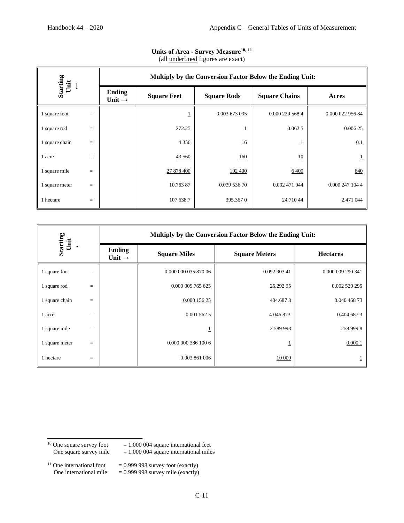<span id="page-10-0"></span>

| <b>Starting</b><br>Unit |     | Multiply by the Conversion Factor Below the Ending Unit: |                    |                    |                      |                  |  |  |
|-------------------------|-----|----------------------------------------------------------|--------------------|--------------------|----------------------|------------------|--|--|
|                         |     | <b>Ending</b><br>Unit $\rightarrow$                      | <b>Square Feet</b> | <b>Square Rods</b> | <b>Square Chains</b> | Acres            |  |  |
| 1 square foot           | $=$ |                                                          | Ŧ                  | 0.003 673 095      | 0.000 229 568 4      | 0.000 022 956 84 |  |  |
| 1 square rod            | $=$ |                                                          | 272.25             |                    | 0.0625               | 0.006 25         |  |  |
| 1 square chain          | $=$ |                                                          | 4 3 5 6            | 16                 | ⊥                    | 0.1              |  |  |
| 1 acre                  | $=$ |                                                          | 43 560             | 160                | 10                   |                  |  |  |
| 1 square mile           | $=$ |                                                          | 27 878 400         | 102 400            | 6400                 | 640              |  |  |
| 1 square meter          | $=$ |                                                          | 10.76387           | 0.039 536 70       | 0.002 471 044        | 0.000 247 104 4  |  |  |
| 1 hectare               | $=$ |                                                          | 107 638.7          | 395.3670           | 24.71044             | 2.471 044        |  |  |

## Units of Area - Survey Measure<sup>10, [11](#page-10-1)</sup> (all underlined figures are exact)

|                         |          | Multiply by the Conversion Factor Below the Ending Unit: |                      |                      |                   |  |  |
|-------------------------|----------|----------------------------------------------------------|----------------------|----------------------|-------------------|--|--|
| <b>Starting</b><br>Unit |          | <b>Ending</b><br>Unit $\rightarrow$                      | <b>Square Miles</b>  | <b>Square Meters</b> | <b>Hectares</b>   |  |  |
| 1 square foot           | $=$      |                                                          | 0.000 000 035 870 06 | 0.092 903 41         | 0.000 009 290 341 |  |  |
| 1 square rod            | $=$      |                                                          | 0.000 009 765 625    | 25.292 95            | 0.002 529 295     |  |  |
| 1 square chain          | $=$      |                                                          | 0.000 156 25         | 404.6873             | 0.040 468 73      |  |  |
| 1 acre                  | $=$      |                                                          | 0.001 562 5          | 4 046.873            | 0.404 687 3       |  |  |
| 1 square mile           | $\equiv$ |                                                          |                      | 2589998              | 258.9998          |  |  |
| 1 square meter          | $=$      |                                                          | 0.000 000 386 100 6  |                      | 0.0001            |  |  |
| 1 hectare               | $=$      |                                                          | 0.003 861 006        | 10 000               |                   |  |  |

<span id="page-10-1"></span><sup>10</sup> One square survey foot = 1.000 004 square international feet<br>One square survey mile =  $1.000 004$  square international miles

 $= 1.000 004$  square international miles

<sup>11</sup> One international foot  $= 0.999$  998 survey foot (exactly)

One international mile  $= 0.999 998$  survey mile (exactly)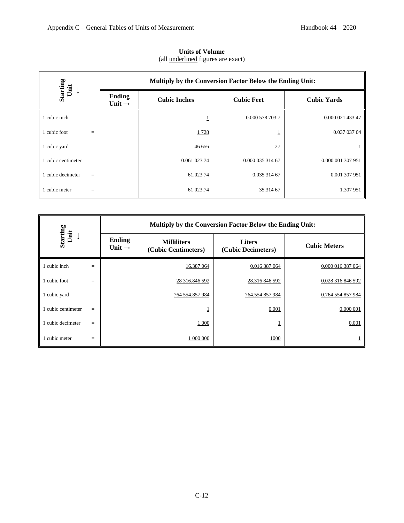<span id="page-11-0"></span>

| <b>Starting</b><br>Unit |     | Multiply by the Conversion Factor Below the Ending Unit: |                     |                   |                    |  |  |
|-------------------------|-----|----------------------------------------------------------|---------------------|-------------------|--------------------|--|--|
|                         |     | Ending<br>Unit $\rightarrow$                             | <b>Cubic Inches</b> | <b>Cubic Feet</b> | <b>Cubic Yards</b> |  |  |
| 1 cubic inch            | $=$ |                                                          | T                   | 0.000 578 703 7   | 0.000 021 433 47   |  |  |
| 1 cubic foot            | $=$ |                                                          | 1728                | ᆂ                 | 0.037 037 04       |  |  |
| 1 cubic yard            | $=$ |                                                          | 46 656              | 27                |                    |  |  |
| 1 cubic centimeter      | $=$ |                                                          | 0.061 023 74        | 0.000 035 314 67  | 0.000 001 307 951  |  |  |
| 1 cubic decimeter       | $=$ |                                                          | 61.023 74           | 0.035 314 67      | 0.001 307 951      |  |  |
| l cubic meter           | $=$ |                                                          | 61 023.74           | 35.314 67         | 1.307 951          |  |  |

## **Units of Volume** (all underlined figures are exact)

| <b>Starting</b><br>Unit |     | Multiply by the Conversion Factor Below the Ending Unit: |                                           |                                     |                     |  |  |
|-------------------------|-----|----------------------------------------------------------|-------------------------------------------|-------------------------------------|---------------------|--|--|
|                         |     | <b>Ending</b><br>Unit $\rightarrow$                      | <b>Milliliters</b><br>(Cubic Centimeters) | <b>Liters</b><br>(Cubic Decimeters) | <b>Cubic Meters</b> |  |  |
| cubic inch              | $=$ |                                                          | 16.387 064                                | 0.016 387 064                       | 0.000 016 387 064   |  |  |
| cubic foot              | $=$ |                                                          | 28 316.846 592                            | 28.316 846 592                      | 0.028 316 846 592   |  |  |
| cubic yard              | $=$ |                                                          | 764 554.857 984                           | 764.554 857 984                     | 0.764 554 857 984   |  |  |
| cubic centimeter        | $=$ |                                                          | ∸                                         | 0.001                               | 0.000 001           |  |  |
| cubic decimeter         | $=$ |                                                          | 1 000                                     | $\overline{1}$                      | 0.001               |  |  |
| cubic meter             | $=$ |                                                          | 1 000 000                                 | 1000                                |                     |  |  |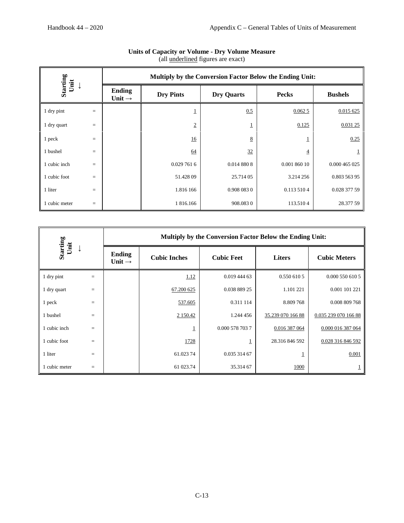<span id="page-12-0"></span>

|                         |           | Multiply by the Conversion Factor Below the Ending Unit: |                  |                   |              |                |  |  |
|-------------------------|-----------|----------------------------------------------------------|------------------|-------------------|--------------|----------------|--|--|
| <b>Starting</b><br>Unit |           | <b>Ending</b><br>Unit $\rightarrow$                      | <b>Dry Pints</b> | <b>Dry Quarts</b> | <b>Pecks</b> | <b>Bushels</b> |  |  |
| 1 dry pint              | $=$       |                                                          | $\overline{1}$   | 0.5               | 0.0625       | 0.015625       |  |  |
| 1 dry quart             | $\quad =$ |                                                          | $\overline{2}$   | ⊥                 | 0.125        | 0.031 25       |  |  |
| 1 peck                  | $=$       |                                                          | 16               | 8                 |              | 0.25           |  |  |
| 1 bushel                | $=$       |                                                          | 64               | 32                | 4            |                |  |  |
| 1 cubic inch            | $=$       |                                                          | 0.029 761 6      | 0.014 880 8       | 0.001 860 10 | 0.000 465 025  |  |  |
| 1 cubic foot            | $=$       |                                                          | 51.428 09        | 25.714 05         | 3.214 256    | 0.803 563 95   |  |  |
| 1 liter                 | $=$       |                                                          | 1.816 166        | 0.908 083 0       | 0.113 510 4  | 0.028 377 59   |  |  |
| 1 cubic meter           | $=$       |                                                          | 1816.166         | 908.0830          | 113.5104     | 28.377 59      |  |  |

### **Units of Capacity or Volume - Dry Volume Measure** (all **underlined** figures are exact)

| <b>Starting</b><br>Unit<br>↓ |     | Multiply by the Conversion Factor Below the Ending Unit: |                     |                   |                   |                      |  |  |
|------------------------------|-----|----------------------------------------------------------|---------------------|-------------------|-------------------|----------------------|--|--|
|                              |     | <b>Ending</b><br>Unit $\rightarrow$                      | <b>Cubic Inches</b> | <b>Cubic Feet</b> | <b>Liters</b>     | <b>Cubic Meters</b>  |  |  |
| 1 dry pint                   | $=$ |                                                          | 1.12                | 0.019 444 63      | 0.550 610 5       | 0.000 550 610 5      |  |  |
| 1 dry quart                  | $=$ |                                                          | 67.200 625          | 0.038 889 25      | 1.101 221         | 0.001 101 221        |  |  |
| 1 peck                       | $=$ |                                                          | 537.605             | 0.311 114         | 8.809768          | 0.008 809 768        |  |  |
| 1 bushel                     | $=$ |                                                          | 2 150.42            | 1.244 456         | 35.239 070 166 88 | 0.035 239 070 166 88 |  |  |
| 1 cubic inch                 | $=$ |                                                          |                     | 0.000 578 703 7   | 0.016 387 064     | 0.000 016 387 064    |  |  |
| 1 cubic foot                 | $=$ |                                                          | 1728                | ⊥                 | 28.316 846 592    | 0.028 316 846 592    |  |  |
| 1 liter                      | $=$ |                                                          | 61.023 74           | 0.035 314 67      | Ŧ                 | 0.001                |  |  |
| 1 cubic meter                | $=$ |                                                          | 61 023.74           | 35.314 67         | 1000              |                      |  |  |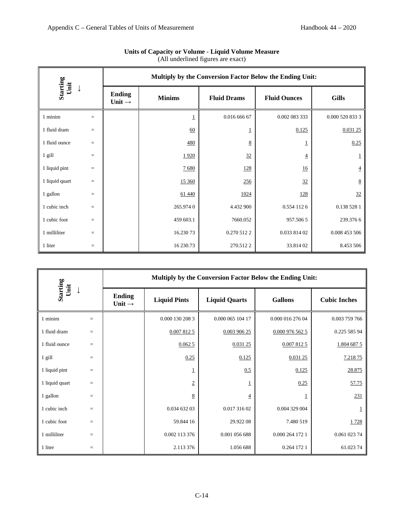<span id="page-13-0"></span>

|                              |           | Multiply by the Conversion Factor Below the Ending Unit: |               |                    |                     |                 |  |  |
|------------------------------|-----------|----------------------------------------------------------|---------------|--------------------|---------------------|-----------------|--|--|
| <b>Starting</b><br>Unit<br>↓ |           | <b>Ending</b><br>Unit $\rightarrow$                      | <b>Minims</b> | <b>Fluid Drams</b> | <b>Fluid Ounces</b> | <b>Gills</b>    |  |  |
| 1 minim                      | $\quad =$ |                                                          | T             | 0.016 666 67       | 0.002 083 333       | 0.000 520 833 3 |  |  |
| 1 fluid dram                 | $\quad =$ |                                                          | 60            | 1                  | 0.125               | 0.03125         |  |  |
| 1 fluid ounce                | $=$       |                                                          | 480           | $8\overline{8}$    | 1                   | 0.25            |  |  |
| 1 gill                       | $\quad =$ |                                                          | 1920          | 32                 | $\overline{4}$      |                 |  |  |
| 1 liquid pint                | $=$       |                                                          | 7680          | 128                | 16                  | $\overline{4}$  |  |  |
| 1 liquid quart               | $=$       |                                                          | 15 360        | 256                | 32                  | 8               |  |  |
| 1 gallon                     | $\quad =$ |                                                          | 61 440        | 1024               | 128                 | 32              |  |  |
| 1 cubic inch                 | $\quad =$ |                                                          | 265.9740      | 4.432 900          | 0.554 112 6         | 0.138 528 1     |  |  |
| 1 cubic foot                 | $\quad =$ |                                                          | 459 603.1     | 7660.052           | 957.5065            | 239.3766        |  |  |
| 1 milliliter                 | $=$       |                                                          | 16.23073      | 0.270 512 2        | 0.033 814 02        | 0.008 453 506   |  |  |
| 1 liter                      | $\quad =$ |                                                          | 16 230.73     | 270.5122           | 33.814 02           | 8.453 506       |  |  |

#### **Units of Capacity or Volume - Liquid Volume Measure** (All underlined figures are exact)

| <b>Starting</b><br>Unit<br>↓ |     | Multiply by the Conversion Factor Below the Ending Unit: |                     |                      |                  |                     |  |  |
|------------------------------|-----|----------------------------------------------------------|---------------------|----------------------|------------------|---------------------|--|--|
|                              |     | <b>Ending</b><br>Unit $\rightarrow$                      | <b>Liquid Pints</b> | <b>Liquid Quarts</b> | <b>Gallons</b>   | <b>Cubic Inches</b> |  |  |
| 1 minim                      | $=$ |                                                          | 0.000 130 208 3     | 0.000 065 104 17     | 0.000 016 276 04 | 0.003 759 766       |  |  |
| 1 fluid dram                 | $=$ |                                                          | 0.0078125           | 0.00390625           | 0.0009765625     | 0.225 585 94        |  |  |
| 1 fluid ounce                | $=$ |                                                          | 0.0625              | 0.031 25             | 0.007 812 5      | 1.804 687 5         |  |  |
| 1 gill                       | $=$ |                                                          | 0.25                | 0.125                | 0.031 25         | 7.21875             |  |  |
| 1 liquid pint                | $=$ |                                                          | 1                   | 0.5                  | 0.125            | 28.875              |  |  |
| 1 liquid quart               | $=$ |                                                          | $\overline{2}$      | 1                    | 0.25             | 57.75               |  |  |
| 1 gallon                     | $=$ |                                                          | 8                   | $\overline{4}$       | T                | 231                 |  |  |
| 1 cubic inch                 | $=$ |                                                          | 0.034 632 03        | 0.017 316 02         | 0.004 329 004    |                     |  |  |
| 1 cubic foot                 | $=$ |                                                          | 59.844 16           | 29.922 08            | 7.480 519        | 1728                |  |  |
| 1 milliliter                 | $=$ |                                                          | 0.002 113 376       | 0.001 056 688        | 0.000 264 172 1  | 0.061 023 74        |  |  |
| 1 liter                      | $=$ |                                                          | 2.113 376           | 1.056 688            | 0.264 172 1      | 61.023 74           |  |  |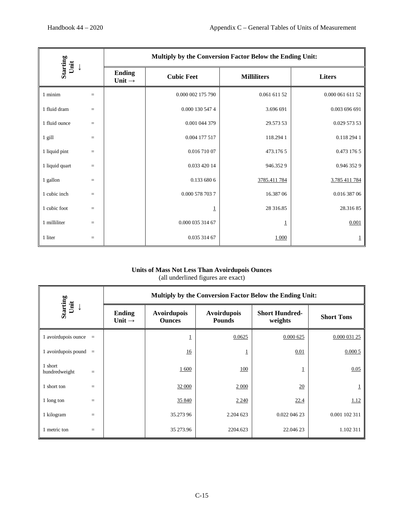| Starting<br>Unit |     |                                     |                   | Multiply by the Conversion Factor Below the Ending Unit: |                  |
|------------------|-----|-------------------------------------|-------------------|----------------------------------------------------------|------------------|
|                  |     | <b>Ending</b><br>Unit $\rightarrow$ | <b>Cubic Feet</b> | <b>Milliliters</b>                                       | <b>Liters</b>    |
| 1 minim          | $=$ |                                     | 0.000 002 175 790 | 0.061 611 52                                             | 0.000 061 611 52 |
| 1 fluid dram     | $=$ |                                     | 0.000 130 547 4   | 3.696 691                                                | 0.003 696 691    |
| 1 fluid ounce    | $=$ |                                     | 0.001 044 379     | 29.573 53                                                | 0.029 573 53     |
| 1 gill           | $=$ |                                     | 0.004 177 517     | 118.2941                                                 | 0.118 294 1      |
| 1 liquid pint    | $=$ |                                     | 0.016 710 07      | 473.1765                                                 | 0.473 176 5      |
| 1 liquid quart   | $=$ |                                     | 0.033 420 14      | 946.3529                                                 | 0.946 352 9      |
| 1 gallon         | $=$ |                                     | 0.133 680 6       | 3785.411784                                              | 3.785 411 784    |
| 1 cubic inch     | $=$ |                                     | 0.000 578 703 7   | 16.38706                                                 | 0.016 387 06     |
| 1 cubic foot     | $=$ |                                     | $\overline{1}$    | 28 316.85                                                | 28.31685         |
| 1 milliliter     | $=$ |                                     | 0.000 035 314 67  | $\overline{1}$                                           | 0.001            |
| 1 liter          | $=$ |                                     | 0.035 314 67      | 1 0 0 0                                                  |                  |

## **Units of Mass Not Less Than Avoirdupois Ounces**

(all underlined figures are exact)

<span id="page-14-0"></span>

|                                             | Multiply by the Conversion Factor Below the Ending Unit: |                                     |                                     |                                  |                   |  |  |  |
|---------------------------------------------|----------------------------------------------------------|-------------------------------------|-------------------------------------|----------------------------------|-------------------|--|--|--|
| <b>Starting</b><br>Unit                     | <b>Ending</b><br>Unit $\rightarrow$                      | <b>Avoirdupois</b><br><b>Ounces</b> | <b>Avoirdupois</b><br><b>Pounds</b> | <b>Short Hundred-</b><br>weights | <b>Short Tons</b> |  |  |  |
| 1 avoirdupois ounce<br>$\equiv$             |                                                          |                                     | 0.0625                              | 0.000 625                        | 0.000 031 25      |  |  |  |
| 1 avoirdupois pound $=$                     |                                                          | <u>16</u>                           |                                     | 0.01                             | 0.0005            |  |  |  |
| 1 short<br>hundredweight<br>$\quad \  \  =$ |                                                          | 1 600                               | 100                                 | Ŧ                                | 0.05              |  |  |  |
| 1 short ton<br>$=$                          |                                                          | 32 000                              | 2 0 0 0                             | $\underline{20}$                 |                   |  |  |  |
| 1 long ton<br>$=$                           |                                                          | 35 840                              | 2 2 4 0                             | 22.4                             | 1.12              |  |  |  |
| 1 kilogram<br>$=$                           |                                                          | 35.273 96                           | 2.204 623                           | 0.022 046 23                     | 0.001 102 311     |  |  |  |
| 1 metric ton<br>$=$                         |                                                          | 35 273.96                           | 2204.623                            | 22.046 23                        | 1.102 311         |  |  |  |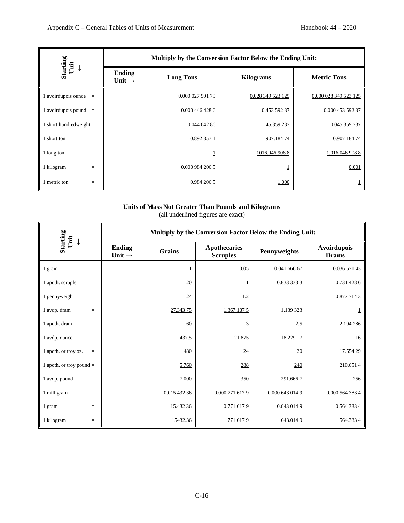|                                  | Multiply by the Conversion Factor Below the Ending Unit: |                  |                   |                       |  |  |
|----------------------------------|----------------------------------------------------------|------------------|-------------------|-----------------------|--|--|
| Starting<br>Unit                 | <b>Ending</b><br>Unit $\rightarrow$                      | <b>Long Tons</b> | <b>Kilograms</b>  | <b>Metric Tons</b>    |  |  |
| 1 avoirdupois ounce<br>$\equiv$  |                                                          | 0.000 027 901 79 | 0.028 349 523 125 | 0.000 028 349 523 125 |  |  |
| 1 avoirdupois pound<br>$\quad =$ |                                                          | 0.000 446 428 6  | 0.453 592 37      | 0.000 453 592 37      |  |  |
| 1 short hundredweight $=$        |                                                          | 0.044 642 86     | 45.359 237        | 0.045 359 237         |  |  |
| 1 short ton<br>$=$               |                                                          | 0.892 857 1      | 907.18474         | 0.907 184 74          |  |  |
| 1 long ton<br>$=$                |                                                          | ∸                | 1016.046 908 8    | 1.016 046 908 8       |  |  |
| 1 kilogram<br>$=$                |                                                          | 0.000 984 206 5  |                   | 0.001                 |  |  |
| 1 metric ton<br>$=$              |                                                          | 0.984 206 5      | 1 0 0 0           |                       |  |  |

### **Units of Mass Not Greater Than Pounds and Kilograms**

<span id="page-15-0"></span>

|                                         | Multiply by the Conversion Factor Below the Ending Unit: |                |                                        |                 |                                    |
|-----------------------------------------|----------------------------------------------------------|----------------|----------------------------------------|-----------------|------------------------------------|
| <b>Starting</b><br>Unit                 | <b>Ending</b><br>Unit $\rightarrow$                      | <b>Grains</b>  | <b>Apothecaries</b><br><b>Scruples</b> | Pennyweights    | <b>Avoirdupois</b><br><b>Drams</b> |
| 1 grain<br>$=$                          |                                                          | $\overline{1}$ | 0.05                                   | 0.041 666 67    | 0.036 571 43                       |
| 1 apoth. scruple<br>$=$                 |                                                          | 20             | 1                                      | 0.833 333 3     | 0.731 428 6                        |
| 1 pennyweight<br>$=$                    |                                                          | 24             | 1.2                                    | 1               | 0.877 714 3                        |
| 1 avdp. dram<br>$=$                     |                                                          | 27.343 75      | 1.367 187 5                            | 1.139 323       |                                    |
| 1 apoth. dram<br>$=$                    |                                                          | 60             | $\overline{3}$                         | 2.5             | 2.194 286                          |
| 1 avdp. ounce<br>$=$                    |                                                          | 437.5          | 21.875                                 | 18.229 17       | 16                                 |
| 1 apoth. or troy oz.<br>$\quad \  \  =$ |                                                          | 480            | 24                                     | 20              | 17.554 29                          |
| 1 apoth. or troy pound $=$              |                                                          | 5 7 6 0        | 288                                    | 240             | 210.6514                           |
| 1 avdp. pound<br>$=$                    |                                                          | 7 0 0 0        | 350                                    | 291.6667        | 256                                |
| 1 milligram<br>$=$                      |                                                          | 0.015 432 36   | 0.000 771 617 9                        | 0.000 643 014 9 | 0.000 564 383 4                    |
| 1 gram<br>$=$                           |                                                          | 15.432 36      | 0.771 617 9                            | 0.643 014 9     | 0.564 383 4                        |
| 1 kilogram<br>$=$                       |                                                          | 15432.36       | 771.6179                               | 643.0149        | 564.3834                           |

(all underlined figures are exact)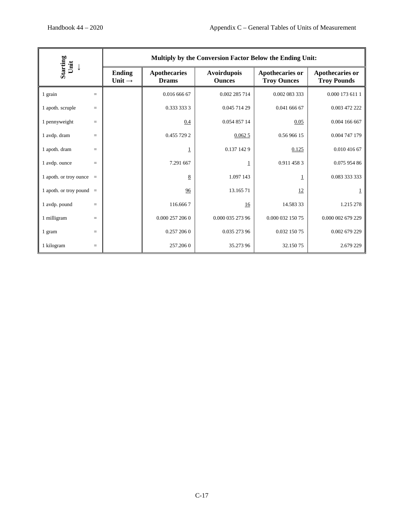| <b>Starting</b><br>Unit    |          | Multiply by the Conversion Factor Below the Ending Unit: |                              |                                     |                                       |                                              |  |  |
|----------------------------|----------|----------------------------------------------------------|------------------------------|-------------------------------------|---------------------------------------|----------------------------------------------|--|--|
|                            |          | <b>Ending</b><br>Unit $\rightarrow$                      | Apothecaries<br><b>Drams</b> | <b>Avoirdupois</b><br><b>Ounces</b> | Apothecaries or<br><b>Troy Ounces</b> | <b>Apothecaries or</b><br><b>Troy Pounds</b> |  |  |
| 1 grain                    | $=$      |                                                          | 0.016 666 67                 | 0.002 285 714                       | 0.002 083 333                         | 0.000 173 611 1                              |  |  |
| 1 apoth. scruple           | $=$      |                                                          | 0.333 333 3                  | 0.045 714 29                        | 0.041 666 67                          | 0.003 472 222                                |  |  |
| 1 pennyweight              | $=$      |                                                          | 0.4                          | 0.054 857 14                        | 0.05                                  | 0.004 166 667                                |  |  |
| 1 avdp. dram               | $=$      |                                                          | 0.455 729 2                  | 0.0625                              | 0.56 966 15                           | 0.004 747 179                                |  |  |
| 1 apoth. dram              | $=$      |                                                          | 1                            | 0.137 142 9                         | 0.125                                 | 0.010 416 67                                 |  |  |
| 1 avdp. ounce              | $=$      |                                                          | 7.291 667                    | 1                                   | 0.911 458 3                           | 0.075 954 86                                 |  |  |
| 1 apoth. or troy ounce     | $\equiv$ |                                                          | 8                            | 1.097 143                           | $\mathbf 1$                           | 0.083 333 333                                |  |  |
| 1 apoth. or troy pound $=$ |          |                                                          | 96                           | 13.165 71                           | 12                                    | $\mathbf{I}$                                 |  |  |
| 1 avdp. pound              | $=$      |                                                          | 116.6667                     | 16                                  | 14.583 33                             | 1.215 278                                    |  |  |
| 1 milligram                | $=$      |                                                          | 0.000 257 206 0              | 0.000 035 273 96                    | 0.000 032 150 75                      | 0.000 002 679 229                            |  |  |
| 1 gram                     | $=$      |                                                          | 0.257 206 0                  | 0.035 273 96                        | 0.032 150 75                          | 0.002 679 229                                |  |  |
| 1 kilogram                 | $=$      |                                                          | 257.2060                     | 35.27396                            | 32.15075                              | 2.679 229                                    |  |  |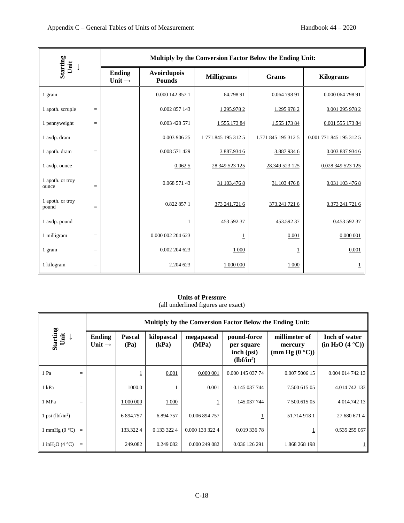| Unit                             |  | Multiply by the Conversion Factor Below the Ending Unit: |                                     |                     |                     |                         |  |  |
|----------------------------------|--|----------------------------------------------------------|-------------------------------------|---------------------|---------------------|-------------------------|--|--|
| Starting                         |  | <b>Ending</b><br>Unit $\rightarrow$                      | <b>Avoirdupois</b><br><b>Pounds</b> | <b>Milligrams</b>   | Grams               | <b>Kilograms</b>        |  |  |
| 1 grain<br>$=$                   |  |                                                          | 0.000 142 857 1                     | 64.798 91           | 0.064 798 91        | 0.000 064 798 91        |  |  |
| 1 apoth. scruple<br>$=$          |  |                                                          | 0.002 857 143                       | 1 295.978 2         | 1.295 978 2         | 0.001 295 978 2         |  |  |
| 1 pennyweight<br>$=$             |  |                                                          | 0.003 428 571                       | 1 555.173 84        | 1.555 173 84        | 0.001 555 173 84        |  |  |
| 1 avdp. dram<br>$=$              |  |                                                          | 0.003 906 25                        | 1 771.845 195 312 5 | 1.771 845 195 312 5 | 0.001 771 845 195 312 5 |  |  |
| 1 apoth. dram<br>$=$             |  |                                                          | 0.008 571 429                       | 3 887.934 6         | 3.887 934 6         | 0.003 887 934 6         |  |  |
| 1 avdp. ounce<br>$=$             |  |                                                          | 0.0625                              | 28 349.523 125      | 28.349 523 125      | 0.028 349 523 125       |  |  |
| 1 apoth. or troy<br>ounce<br>$=$ |  |                                                          | 0.068 571 43                        | 31 103.476 8        | 31.103 476 8        | 0.031 103 476 8         |  |  |
| 1 apoth. or troy<br>pound<br>$=$ |  |                                                          | 0.822 857 1                         | 373 241.721 6       | 373.241 721 6       | 0.373 241 721 6         |  |  |
| 1 avdp. pound<br>$=$             |  |                                                          | $\overline{1}$                      | 453 592.37          | 453.59237           | 0.453 592 37            |  |  |
| 1 milligram<br>$=$               |  |                                                          | 0.000 002 204 623                   | 1                   | 0.001               | 0.000 001               |  |  |
| 1 gram<br>$=$                    |  |                                                          | 0.002 204 623                       | 1 0 0 0             | 1                   | 0.001                   |  |  |
| 1 kilogram<br>$=$                |  |                                                          | 2.204 623                           | 1 000 000           | 1 0 0 0             | 1                       |  |  |

#### **Units of Pressure**  (all underlined figures are exact)

<span id="page-17-0"></span>

|                                     | Multiply by the Conversion Factor Below the Ending Unit: |                |                     |                     |                                                                   |                                               |                                               |
|-------------------------------------|----------------------------------------------------------|----------------|---------------------|---------------------|-------------------------------------------------------------------|-----------------------------------------------|-----------------------------------------------|
| <b>Starting</b><br>Unit             | <b>Ending</b><br>Unit $\rightarrow$                      | Pascal<br>(Pa) | kilopascal<br>(kPa) | megapascal<br>(MPa) | pound-force<br>per square<br>inch (psi)<br>(lbf/in <sup>2</sup> ) | millimeter of<br>mercury<br>(mm Hg $(0 °C)$ ) | Inch of water<br>(in H <sub>2</sub> O (4 °C)) |
| 1 Pa<br>$=$                         |                                                          |                | 0.001               | 0.000 001           | 0.000 145 037 74                                                  | 0.007 5006 15                                 | 0.004 014 742 13                              |
| 1 kPa<br>$=$                        |                                                          | 1000.0         | T                   | 0.001               | 0.145 037 744                                                     | 7.500 615 05                                  | 4.014 742 133                                 |
| 1 MPa<br>$=$                        |                                                          | 1 000 000      | 1 0 0 0             | 1                   | 145.037 744                                                       | 7 500.615 05                                  | 4 014.742 13                                  |
| 1 psi $(lbf/in^2)$<br>$=$           |                                                          | 6894.757       | 6.894 757           | 0.006 894 757       |                                                                   | 51.714 918 1                                  | 27.680 671 4                                  |
| 1 mmHg $(0 °C)$<br>$\equiv$         |                                                          | 133.3224       | 0.133 322 4         | 0.000 133 322 4     | 0.019 336 78                                                      | $\overline{1}$                                | 0.535 255 057                                 |
| 1 in H <sub>2</sub> O (4 °C)<br>$=$ |                                                          | 249.082        | 0.249 082           | 0.000 249 082       | 0.036 126 291                                                     | 1.868 268 198                                 |                                               |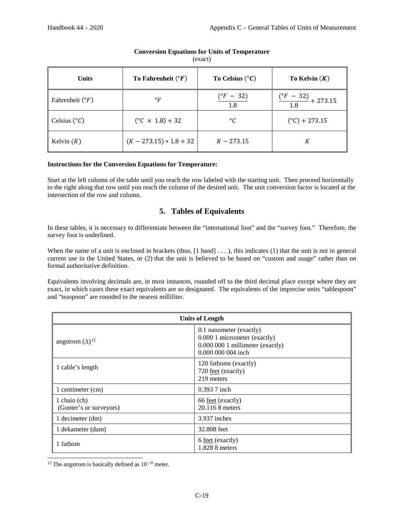<span id="page-18-0"></span>

| <b>Units</b>                 | To Fahrenheit $({}^{\circ}F)$ | To Celsius $(^{\circ}C)$               | To Kelvin $(K)$                     |
|------------------------------|-------------------------------|----------------------------------------|-------------------------------------|
| Fahrenheit ( ${}^{\circ}F$ ) | $\circ_F$                     | $(^{\circ}F - 32)$<br>$1.\overline{8}$ | $\frac{({}^{6}F - 32)}{2} + 273.15$ |
| Celsius $({}^{\circ}C)$      | $(^{\circ}C \times 1.8) + 32$ | °C                                     | $(^{\circ}C) + 273.15$              |
| Kelvin $(K)$                 | $(K-273.15)*1.8+32$           | $K - 273.15$                           | К                                   |

## **Conversion Equations for Units of Temperature**

(exact)

#### **Instructions for the Conversion Equations for Temperature:**

<span id="page-18-1"></span>Start at the left column of the table until you reach the row labeled with the starting unit. Then proceed horizontally to the right along that row until you reach the column of the desired unit. The unit conversion factor is located at the intersection of the row and column.

## **5. Tables of Equivalents**

In these tables, it is necessary to differentiate between the "international foot" and the "survey foot." Therefore, the survey foot is underlined.

When the name of a unit is enclosed in brackets (thus,  $[1 \text{ hand}] \dots$ ), this indicates (1) that the unit is not in general current use in the United States, or (2) that the unit is believed to be based on "custom and usage" rather than on formal authoritative definition.

Equivalents involving decimals are, in most instances, rounded off to the third decimal place except where they are exact, in which cases these exact equivalents are so designated. The equivalents of the imprecise units "tablespoon" and "teaspoon" are rounded to the nearest milliliter.

<span id="page-18-2"></span>

| <b>Units of Length</b>                    |                                                                                                                   |  |  |  |
|-------------------------------------------|-------------------------------------------------------------------------------------------------------------------|--|--|--|
| angstrom $(\Delta)^{12}$                  | 0.1 nanometer (exactly)<br>0.000 1 micrometer (exactly)<br>0.000 000 1 millimeter (exactly)<br>0.000 000 004 inch |  |  |  |
| 1 cable's length                          | 120 fathoms (exactly)<br>720 feet (exactly)<br>219 meters                                                         |  |  |  |
| 1 centimeter (cm)                         | $0.3937$ inch                                                                                                     |  |  |  |
| 1 chain $(ch)$<br>(Gunter's or surveyors) | 66 <u>feet</u> (exactly)<br>20.116.8 meters                                                                       |  |  |  |
| 1 decimeter (dm)                          | 3.937 inches                                                                                                      |  |  |  |
| 1 dekameter (dam)                         | 32.808 feet                                                                                                       |  |  |  |
| 1 fathom                                  | 6 <u>feet</u> (exactly)<br>1.828 8 meters                                                                         |  |  |  |

<span id="page-18-3"></span><sup>12</sup> The angstrom is basically defined as  $10^{-10}$  meter.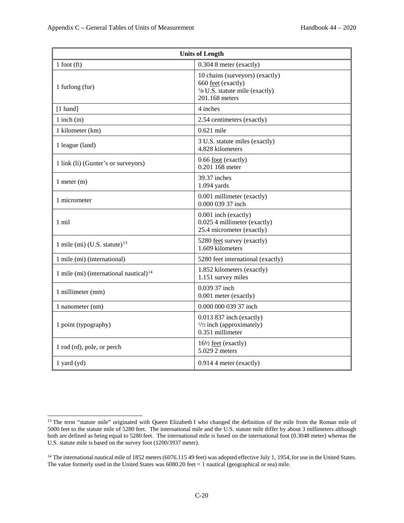| <b>Units of Length</b>                       |                                                                                                                      |  |  |  |
|----------------------------------------------|----------------------------------------------------------------------------------------------------------------------|--|--|--|
| $1$ foot $(ft)$                              | 0.304 8 meter (exactly)                                                                                              |  |  |  |
| 1 furlong (fur)                              | 10 chains (surveyors) (exactly)<br>660 feet (exactly)<br>$\frac{1}{8}$ U.S. statute mile (exactly)<br>201.168 meters |  |  |  |
| [1 hand]                                     | 4 inches                                                                                                             |  |  |  |
| $1$ inch (in)                                | 2.54 centimeters (exactly)                                                                                           |  |  |  |
| 1 kilometer (km)                             | $0.621$ mile                                                                                                         |  |  |  |
| 1 league (land)                              | 3 U.S. statute miles (exactly)<br>4.828 kilometers                                                                   |  |  |  |
| 1 link (li) (Gunter's or surveyors)          | 0.66 foot (exactly)<br>0.201 168 meter                                                                               |  |  |  |
| 1 meter $(m)$                                | 39.37 inches<br>1.094 yards                                                                                          |  |  |  |
| 1 micrometer                                 | 0.001 millimeter (exactly)<br>0.000 039 37 inch                                                                      |  |  |  |
| 1 mil                                        | 0.001 inch (exactly)<br>0.025 4 millimeter (exactly)<br>25.4 micrometer (exactly)                                    |  |  |  |
| 1 mile (mi) (U.S. statute) $13$              | 5280 <u>feet</u> survey (exactly)<br>1.609 kilometers                                                                |  |  |  |
| 1 mile (mi) (international)                  | 5280 feet international (exactly)                                                                                    |  |  |  |
| 1 mile (mi) (international nautical) $^{14}$ | 1.852 kilometers (exactly)<br>1.151 survey miles                                                                     |  |  |  |
| 1 millimeter (mm)                            | 0.039 37 inch<br>0.001 meter (exactly)                                                                               |  |  |  |
| 1 nanometer (nm)                             | 0.000 000 039 37 inch                                                                                                |  |  |  |
| 1 point (typography)                         | $0.013$ 837 inch (exactly)<br>$\frac{1}{72}$ inch (approximately)<br>0.351 millimeter                                |  |  |  |
| 1 rod (rd), pole, or perch                   | 16½ feet (exactly)<br>5.029 2 meters                                                                                 |  |  |  |
| $1$ yard (yd)                                | 0.914 4 meter (exactly)                                                                                              |  |  |  |

<span id="page-19-0"></span><sup>&</sup>lt;sup>13</sup> The term "statute mile" originated with Queen Elizabeth I who changed the definition of the mile from the Roman mile of 5000 feet to the statute mile of 5280 feet. The international mile and the U.S. statute mile differ by about 3 millimeters although both are defined as being equal to 5280 feet. The international mile is based on the international foot (0.3048 meter) whereas the U.S. statute mile is based on the survey foot (1200/3937 meter).

<span id="page-19-1"></span><sup>&</sup>lt;sup>14</sup> The international nautical mile of 1852 meters (6076.115 49 feet) was adopted effective July 1, 1954, for use in the United States. The value formerly used in the United States was  $6080.20$  feet = 1 nautical (geographical or sea) mile.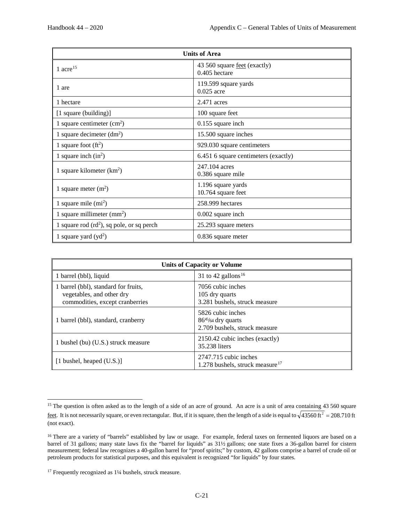<span id="page-20-0"></span>

| <b>Units of Area</b>                                |                                                        |  |  |
|-----------------------------------------------------|--------------------------------------------------------|--|--|
| 1 $\arccos 15$                                      | 43 560 square <u>feet</u> (exactly)<br>$0.405$ hectare |  |  |
| 1 are                                               | 119.599 square yards<br>$0.025$ acre                   |  |  |
| 1 hectare                                           | $2.471$ acres                                          |  |  |
| [1 square (building)]                               | 100 square feet                                        |  |  |
| 1 square centimeter $(cm2)$                         | 0.155 square inch                                      |  |  |
| 1 square decimeter $(dm2)$                          | 15.500 square inches                                   |  |  |
| 1 square foot $(ft^2)$                              | 929.030 square centimeters                             |  |  |
| 1 square inch $(in^2)$                              | 6.451 6 square centimeters (exactly)                   |  |  |
| 1 square kilometer $(km^2)$                         | 247.104 acres<br>0.386 square mile                     |  |  |
| 1 square meter $(m2)$                               | 1.196 square yards<br>10.764 square feet               |  |  |
| 1 square mile $(mi^2)$                              | 258.999 hectares                                       |  |  |
| 1 square millimeter $(mm2)$                         | 0.002 square inch                                      |  |  |
| 1 square rod $\text{(rd}^2)$ , sq pole, or sq perch | 25.293 square meters                                   |  |  |
| 1 square yard $(yd^2)$                              | 0.836 square meter                                     |  |  |

<span id="page-20-1"></span>

| <b>Units of Capacity or Volume</b>                                                                   |                                                                               |  |  |
|------------------------------------------------------------------------------------------------------|-------------------------------------------------------------------------------|--|--|
| 1 barrel (bbl), liquid                                                                               | 31 to 42 gallons <sup>16</sup>                                                |  |  |
| 1 barrel (bbl), standard for fruits,<br>vegetables, and other dry<br>commodities, except cranberries | 7056 cubic inches<br>105 dry quarts<br>3.281 bushels, struck measure          |  |  |
| 1 barrel (bbl), standard, cranberry                                                                  | 5826 cubic inches<br>$86^{45}/64$ dry quarts<br>2.709 bushels, struck measure |  |  |
| 1 bushel (bu) (U.S.) struck measure                                                                  | 2150.42 cubic inches (exactly)<br>35.238 liters                               |  |  |
| [1 bushel, heaped $(U.S.)$ ]                                                                         | 2747.715 cubic inches<br>1.278 bushels, struck measure <sup>17</sup>          |  |  |

<span id="page-20-2"></span><sup>&</sup>lt;sup>15</sup> The question is often asked as to the length of a side of an acre of ground. An acre is a unit of area containing 43 560 square <u>feet</u>. It is not necessarily square, or even rectangular. But, if it is square, then the length of a side is equal to  $\sqrt{43560 \text{ ft}^2} = 208.710 \text{ ft}$ (not exact).

<span id="page-20-3"></span><sup>&</sup>lt;sup>16</sup> There are a variety of "barrels" established by law or usage. For example, federal taxes on fermented liquors are based on a barrel of 31 gallons; many state laws fix the "barrel for liquids" as 31½ gallons; one state fixes a 36-gallon barrel for cistern measurement; federal law recognizes a 40-gallon barrel for "proof spirits;" by custom, 42 gallons comprise a barrel of crude oil or petroleum products for statistical purposes, and this equivalent is recognized "for liquids" by four states.

<span id="page-20-4"></span><sup>&</sup>lt;sup>17</sup> Frequently recognized as 1<sup>1</sup>/<sub>4</sub> bushels, struck measure.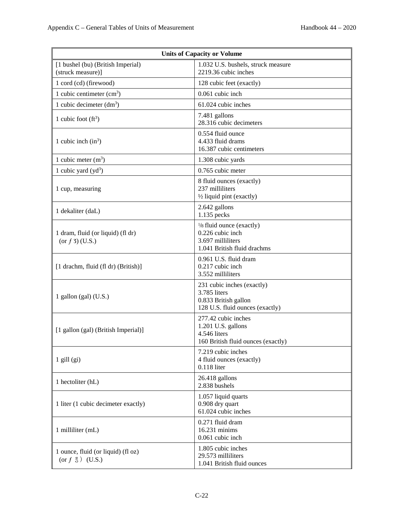| <b>Units of Capacity or Volume</b>                      |                                                                                                             |  |  |  |
|---------------------------------------------------------|-------------------------------------------------------------------------------------------------------------|--|--|--|
| [1 bushel (bu) (British Imperial)                       | 1.032 U.S. bushels, struck measure                                                                          |  |  |  |
| (struck measure)]                                       | 2219.36 cubic inches                                                                                        |  |  |  |
| 1 cord (cd) (firewood)                                  | 128 cubic feet (exactly)                                                                                    |  |  |  |
| 1 cubic centimeter $(cm3)$                              | 0.061 cubic inch                                                                                            |  |  |  |
| 1 cubic decimeter $(dm3)$                               | 61.024 cubic inches                                                                                         |  |  |  |
| 1 cubic foot $(ft^3)$                                   | 7.481 gallons<br>28.316 cubic decimeters                                                                    |  |  |  |
| 1 cubic inch $(in^3)$                                   | 0.554 fluid ounce<br>4.433 fluid drams<br>16.387 cubic centimeters                                          |  |  |  |
| 1 cubic meter $(m3)$                                    | 1.308 cubic yards                                                                                           |  |  |  |
| 1 cubic yard $(yd^3)$                                   | 0.765 cubic meter                                                                                           |  |  |  |
| 1 cup, measuring                                        | 8 fluid ounces (exactly)<br>237 milliliters<br>1/2 liquid pint (exactly)                                    |  |  |  |
| 1 dekaliter (daL)                                       | 2.642 gallons<br>1.135 pecks                                                                                |  |  |  |
| 1 dram, fluid (or liquid) (fl dr)<br>(or $f$ 3) (U.S.)  | $\frac{1}{8}$ fluid ounce (exactly)<br>0.226 cubic inch<br>3.697 milliliters<br>1.041 British fluid drachms |  |  |  |
| [1 drachm, fluid (fl dr) (British)]                     | 0.961 U.S. fluid dram<br>0.217 cubic inch<br>3.552 milliliters                                              |  |  |  |
| 1 gallon (gal) $(U.S.)$                                 | 231 cubic inches (exactly)<br>3.785 liters<br>0.833 British gallon<br>128 U.S. fluid ounces (exactly)       |  |  |  |
| [1 gallon (gal) (British Imperial)]                     | 277.42 cubic inches<br>1.201 U.S. gallons<br>4.546 liters<br>160 British fluid ounces (exactly)             |  |  |  |
| $1$ gill (gi)                                           | 7.219 cubic inches<br>4 fluid ounces (exactly)<br>$0.118$ liter                                             |  |  |  |
| 1 hectoliter (hL)                                       | 26.418 gallons<br>2.838 bushels                                                                             |  |  |  |
| 1 liter (1 cubic decimeter exactly)                     | 1.057 liquid quarts<br>0.908 dry quart<br>61.024 cubic inches                                               |  |  |  |
| 1 milliliter (mL)                                       | 0.271 fluid dram<br>16.231 minims<br>0.061 cubic inch                                                       |  |  |  |
| 1 ounce, fluid (or liquid) (fl oz)<br>(or $f(3)$ (U.S.) | 1.805 cubic inches<br>29.573 milliliters<br>1.041 British fluid ounces                                      |  |  |  |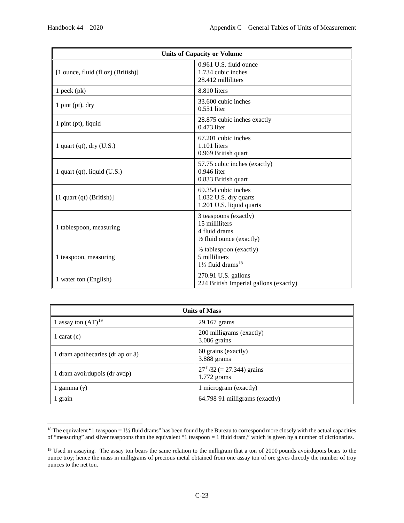| <b>Units of Capacity or Volume</b> |                                                                                                 |  |  |
|------------------------------------|-------------------------------------------------------------------------------------------------|--|--|
| [1 ounce, fluid (fl oz) (British)] | 0.961 U.S. fluid ounce<br>1.734 cubic inches<br>28.412 milliliters                              |  |  |
| $1$ peck (pk)                      | 8.810 liters                                                                                    |  |  |
| $1$ pint (pt), dry                 | 33.600 cubic inches<br>$0.551$ liter                                                            |  |  |
| 1 pint (pt), liquid                | 28.875 cubic inches exactly<br>$0.473$ liter                                                    |  |  |
| 1 quart (qt), dry $(U.S.)$         | 67.201 cubic inches<br>1.101 liters<br>0.969 British quart                                      |  |  |
| 1 quart (qt), liquid $(U.S.)$      | 57.75 cubic inches (exactly)<br>$0.946$ liter<br>0.833 British quart                            |  |  |
| $[1$ quart (qt) (British)]         | 69.354 cubic inches<br>1.032 U.S. dry quarts<br>1.201 U.S. liquid quarts                        |  |  |
| 1 tablespoon, measuring            | 3 teaspoons (exactly)<br>15 milliliters<br>4 fluid drams<br>1/2 fluid ounce (exactly)           |  |  |
| 1 teaspoon, measuring              | $\frac{1}{3}$ tablespoon (exactly)<br>5 milliliters<br>$1\frac{1}{3}$ fluid drams <sup>18</sup> |  |  |
| 1 water ton (English)              | 270.91 U.S. gallons<br>224 British Imperial gallons (exactly)                                   |  |  |

<span id="page-22-0"></span>

| <b>Units of Mass</b>             |                                                 |
|----------------------------------|-------------------------------------------------|
| 1 assay ton $(AT)^{19}$          | 29.167 grams                                    |
| 1 carat $(c)$                    | 200 milligrams (exactly)<br>3.086 grains        |
| 1 dram apothecaries (dr ap or 3) | 60 grains (exactly)<br>$3.888$ grams            |
| 1 dram avoirdupois (dr avdp)     | $27^{11}/32$ (= 27.344) grains<br>$1.772$ grams |
| 1 gamma (γ)                      | 1 microgram (exactly)                           |
| 1 grain                          | 64.798 91 milligrams (exactly)                  |

<span id="page-22-1"></span> <sup>18</sup> The equivalent "1 teaspoon = 1⅓ fluid drams" has been found by the Bureau to correspond more closely with the actual capacities of "measuring" and silver teaspoons than the equivalent "1 teaspoon = 1 fluid dram," which is given by a number of dictionaries.

<span id="page-22-2"></span><sup>&</sup>lt;sup>19</sup> Used in assaying. The assay ton bears the same relation to the milligram that a ton of 2000 pounds avoirdupois bears to the ounce troy; hence the mass in milligrams of precious metal obtained from one assay ton of ore gives directly the number of troy ounces to the net ton.